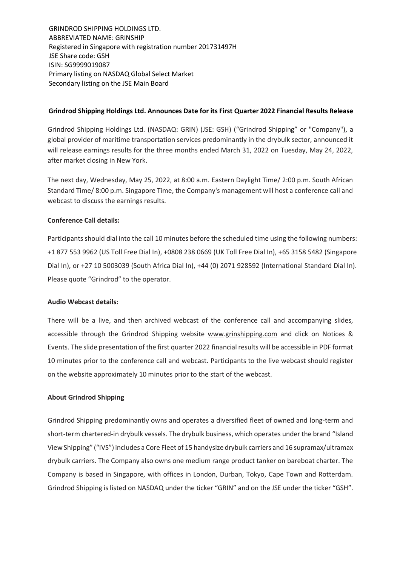GRINDROD SHIPPING HOLDINGS LTD. ABBREVIATED NAME: GRINSHIP Registered in Singapore with registration number 201731497H JSE Share code: GSH ISIN: SG9999019087 Primary listing on NASDAQ Global Select Market Secondary listing on the JSE Main Board

## **Grindrod Shipping Holdings Ltd. Announces Date for its First Quarter 2022 Financial Results Release**

Grindrod Shipping Holdings Ltd. (NASDAQ: GRIN) (JSE: GSH) ("Grindrod Shipping" or "Company"), a global provider of maritime transportation services predominantly in the drybulk sector, announced it will release earnings results for the three months ended March 31, 2022 on Tuesday, May 24, 2022, after market closing in New York.

The next day, Wednesday, May 25, 2022, at 8:00 a.m. Eastern Daylight Time/ 2:00 p.m. South African Standard Time/ 8:00 p.m. Singapore Time, the Company's management will host a conference call and webcast to discuss the earnings results.

# **Conference Call details:**

Participants should dial into the call 10 minutes before the scheduled time using the following numbers: +1 877 553 9962 (US Toll Free Dial In), +0808 238 0669 (UK Toll Free Dial In), +65 3158 5482 (Singapore Dial In), or +27 10 5003039 (South Africa Dial In), +44 (0) 2071 928592 (International Standard Dial In). Please quote "Grindrod" to the operator.

## **Audio Webcast details:**

There will be a live, and then archived webcast of the conference call and accompanying slides, accessible through the Grindrod Shipping website www.grinshipping.com and click on Notices & Events. The slide presentation of the first quarter 2022 financial results will be accessible in PDF format 10 minutes prior to the conference call and webcast. Participants to the live webcast should register on the website approximately 10 minutes prior to the start of the webcast.

## **About Grindrod Shipping**

Grindrod Shipping predominantly owns and operates a diversified fleet of owned and long-term and short-term chartered-in drybulk vessels. The drybulk business, which operates under the brand "Island View Shipping" ("IVS") includes a Core Fleet of 15 handysize drybulk carriers and 16 supramax/ultramax drybulk carriers. The Company also owns one medium range product tanker on bareboat charter. The Company is based in Singapore, with offices in London, Durban, Tokyo, Cape Town and Rotterdam. Grindrod Shipping is listed on NASDAQ under the ticker "GRIN" and on the JSE under the ticker "GSH".